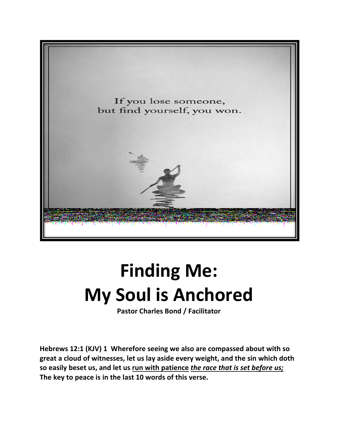

## **Finding Me: My Soul is Anchored**

**Pastor Charles Bond / Facilitator**

**Hebrews 12:1 (KJV) 1 Wherefore seeing we also are compassed about with so great a cloud of witnesses, let us lay aside every weight, and the sin which doth so easily beset us, and let us run with patience** *the race that is set before us;* **The key to peace is in the last 10 words of this verse.**